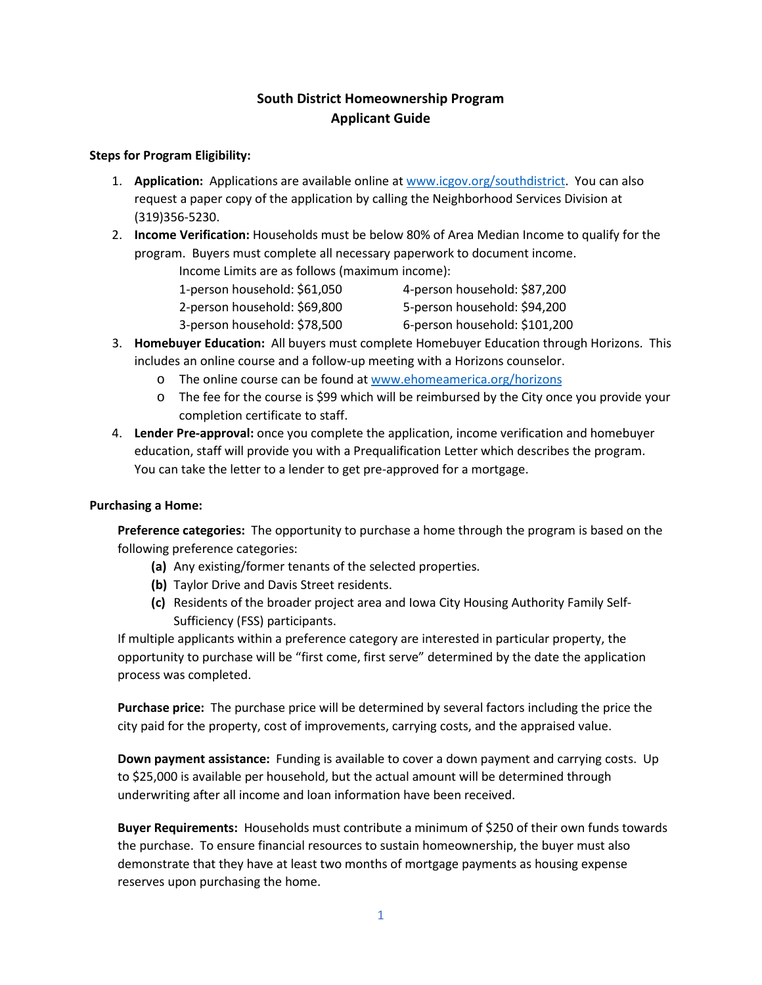## **South District Homeownership Program Applicant Guide**

## **Steps for Program Eligibility:**

- 1. **Application:** Applications are available online a[t www.icgov.org/southdistrict.](http://www.icgov.org/southdistrict) You can also request a paper copy of the application by calling the Neighborhood Services Division at (319)356-5230.
- 2. **Income Verification:** Households must be below 80% of Area Median Income to qualify for the program. Buyers must complete all necessary paperwork to document income.

Income Limits are as follows (maximum income):

1-person household: \$61,050 4-person household: \$87,200

2-person household: \$69,800 5-person household: \$94,200

- 3-person household: \$78,500 6-person household: \$101,200
	-
- 3. **Homebuyer Education:** All buyers must complete Homebuyer Education through Horizons. This includes an online course and a follow-up meeting with a Horizons counselor.
	- o The online course can be found at [www.ehomeamerica.org/horizons](http://www.ehomeamerica.org/horizons)
	- o The fee for the course is \$99 which will be reimbursed by the City once you provide your completion certificate to staff.
- 4. **Lender Pre-approval:** once you complete the application, income verification and homebuyer education, staff will provide you with a Prequalification Letter which describes the program. You can take the letter to a lender to get pre-approved for a mortgage.

## **Purchasing a Home:**

**Preference categories:** The opportunity to purchase a home through the program is based on the following preference categories:

- **(a)** Any existing/former tenants of the selected properties.
- **(b)** Taylor Drive and Davis Street residents.
- **(c)** Residents of the broader project area and Iowa City Housing Authority Family Self-Sufficiency (FSS) participants.

If multiple applicants within a preference category are interested in particular property, the opportunity to purchase will be "first come, first serve" determined by the date the application process was completed.

**Purchase price:** The purchase price will be determined by several factors including the price the city paid for the property, cost of improvements, carrying costs, and the appraised value.

**Down payment assistance:** Funding is available to cover a down payment and carrying costs. Up to \$25,000 is available per household, but the actual amount will be determined through underwriting after all income and loan information have been received.

**Buyer Requirements:** Households must contribute a minimum of \$250 of their own funds towards the purchase. To ensure financial resources to sustain homeownership, the buyer must also demonstrate that they have at least two months of mortgage payments as housing expense reserves upon purchasing the home.